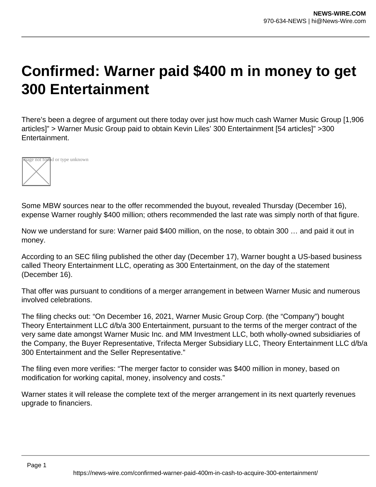## **Confirmed: Warner paid \$400 m in money to get 300 Entertainment**

There's been a degree of argument out there today over just how much cash Warner Music Group [1,906 articles]" > Warner Music Group paid to obtain Kevin Liles' 300 Entertainment [54 articles]" >300 Entertainment.



Some MBW sources near to the offer recommended the buyout, revealed Thursday (December 16), expense Warner roughly \$400 million; others recommended the last rate was simply north of that figure.

Now we understand for sure: Warner paid \$400 million, on the nose, to obtain 300 … and paid it out in money.

According to an SEC filing published the other day (December 17), Warner bought a US-based business called Theory Entertainment LLC, operating as 300 Entertainment, on the day of the statement (December 16).

That offer was pursuant to conditions of a merger arrangement in between Warner Music and numerous involved celebrations.

The filing checks out: "On December 16, 2021, Warner Music Group Corp. (the "Company") bought Theory Entertainment LLC d/b/a 300 Entertainment, pursuant to the terms of the merger contract of the very same date amongst Warner Music Inc. and MM Investment LLC, both wholly-owned subsidiaries of the Company, the Buyer Representative, Trifecta Merger Subsidiary LLC, Theory Entertainment LLC d/b/a 300 Entertainment and the Seller Representative."

The filing even more verifies: "The merger factor to consider was \$400 million in money, based on modification for working capital, money, insolvency and costs."

Warner states it will release the complete text of the merger arrangement in its next quarterly revenues upgrade to financiers.